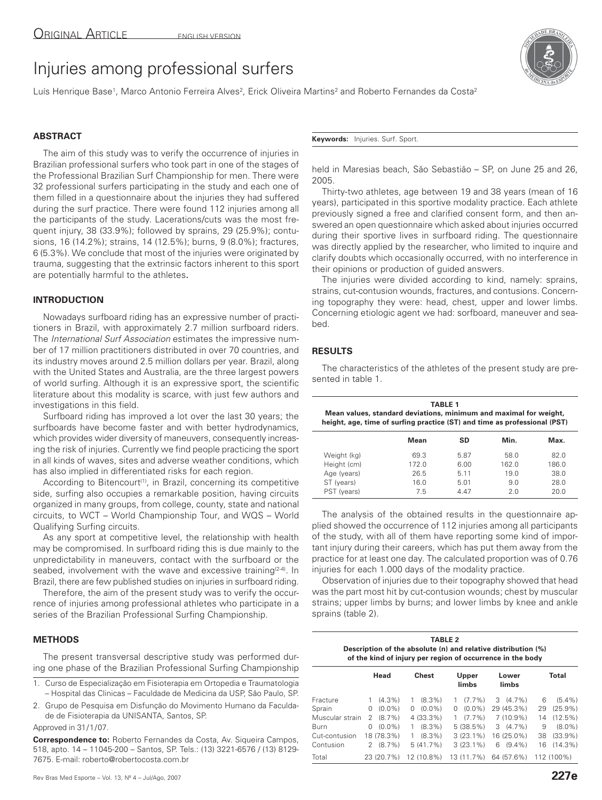# Injuries among professional surfers

Luís Henrique Base<sup>1</sup>, Marco Antonio Ferreira Alves<sup>2</sup>, Erick Oliveira Martins<sup>2</sup> and Roberto Fernandes da Costa<sup>2</sup>

## **ABSTRACT**

The aim of this study was to verify the occurrence of injuries in Brazilian professional surfers who took part in one of the stages of the Professional Brazilian Surf Championship for men. There were 32 professional surfers participating in the study and each one of them filled in a questionnaire about the injuries they had suffered during the surf practice. There were found 112 injuries among all the participants of the study. Lacerations/cuts was the most frequent injury, 38 (33.9%); followed by sprains, 29 (25.9%); contusions, 16 (14.2%); strains, 14 (12.5%); burns, 9 (8.0%); fractures, 6 (5.3%). We conclude that most of the injuries were originated by trauma, suggesting that the extrinsic factors inherent to this sport are potentially harmful to the athletes.

# **INTRODUCTION**

Nowadays surfboard riding has an expressive number of practitioners in Brazil, with approximately 2.7 million surfboard riders. The International Surf Association estimates the impressive number of 17 million practitioners distributed in over 70 countries, and its industry moves around 2.5 million dollars per year. Brazil, along with the United States and Australia, are the three largest powers of world surfing. Although it is an expressive sport, the scientific literature about this modality is scarce, with just few authors and investigations in this field.

Surfboard riding has improved a lot over the last 30 years; the surfboards have become faster and with better hydrodynamics, which provides wider diversity of maneuvers, consequently increasing the risk of injuries. Currently we find people practicing the sport in all kinds of waves, sites and adverse weather conditions, which has also implied in differentiated risks for each region.

According to Bitencourt<sup>(1)</sup>, in Brazil, concerning its competitive side, surfing also occupies a remarkable position, having circuits organized in many groups, from college, county, state and national circuits, to WCT – World Championship Tour, and WQS – World Qualifying Surfing circuits.

As any sport at competitive level, the relationship with health may be compromised. In surfboard riding this is due mainly to the unpredictability in maneuvers, contact with the surfboard or the seabed, involvement with the wave and excessive training<sup>(2-4)</sup>. In Brazil, there are few published studies on injuries in surfboard riding.

Therefore, the aim of the present study was to verify the occurrence of injuries among professional athletes who participate in a series of the Brazilian Professional Surfing Championship.

### **METHODS**

The present transversal descriptive study was performed during one phase of the Brazilian Professional Surfing Championship

- 1. Curso de Especialização em Fisioterapia em Ortopedia e Traumatologia – Hospital das Clinicas – Faculdade de Medicina da USP, São Paulo, SP.
- 2. Grupo de Pesquisa em Disfunção do Movimento Humano da Faculdade de Fisioterapia da UNISANTA, Santos, SP.

Approved in 31/1/07.

**Correspondence to:** Roberto Fernandes da Costa, Av. Siqueira Campos, 518, apto. 14 – 11045-200 – Santos, SP. Tels.: (13) 3221-6576 / (13) 8129- 7675. E-mail: roberto@robertocosta.com.br



**Keywords:** Injuries. Surf. Sport.

held in Maresias beach, São Sebastião – SP, on June 25 and 26, 2005.

Thirty-two athletes, age between 19 and 38 years (mean of 16 years), participated in this sportive modality practice. Each athlete previously signed a free and clarified consent form, and then answered an open questionnaire which asked about injuries occurred during their sportive lives in surfboard riding. The questionnaire was directly applied by the researcher, who limited to inquire and clarify doubts which occasionally occurred, with no interference in their opinions or production of guided answers.

The injuries were divided according to kind, namely: sprains, strains, cut-contusion wounds, fractures, and contusions. Concerning topography they were: head, chest, upper and lower limbs. Concerning etiologic agent we had: sorfboard, maneuver and seabed.

The characteristics of the athletes of the present study are pre-

# **RESULTS**

sented in table 1.

| <b>TABLE 1</b><br>Mean values, standard deviations, minimum and maximal for weight,<br>height, age, time of surfing practice (ST) and time as professional (PST) |       |      |       |       |  |  |
|------------------------------------------------------------------------------------------------------------------------------------------------------------------|-------|------|-------|-------|--|--|
|                                                                                                                                                                  | Mean  | SD   | Min.  | Max.  |  |  |
| Weight (kg)                                                                                                                                                      | 69.3  | 5.87 | 58.0  | 82.0  |  |  |
| Height (cm)                                                                                                                                                      | 172.0 | 6.00 | 162.0 | 186.0 |  |  |
| Age (years)                                                                                                                                                      | 26.5  | 5.11 | 19.0  | 38.0  |  |  |
| ST (years)                                                                                                                                                       | 16.0  | 5.01 | 9 O   | 28.0  |  |  |

PST (years) 7.5 4.47 2.0 20.0

The analysis of the obtained results in the questionnaire applied showed the occurrence of 112 injuries among all participants of the study, with all of them have reporting some kind of important injury during their careers, which has put them away from the practice for at least one day. The calculated proportion was of 0.76 injuries for each 1.000 days of the modality practice.

Observation of injuries due to their topography showed that head was the part most hit by cut-contusion wounds; chest by muscular strains; upper limbs by burns; and lower limbs by knee and ankle sprains (table 2).

| <b>TABLE 2</b>                                                |
|---------------------------------------------------------------|
| Description of the absolute (n) and relative distribution (%) |
| of the kind of injury per region of occurrence in the body    |

|                 |    | Head       |   | Chest      |   | Upper<br>limbs |   | Lower<br>limbs |    | <b>Total</b> |
|-----------------|----|------------|---|------------|---|----------------|---|----------------|----|--------------|
| Fracture        |    | $(4.3\%)$  |   | $(8.3\%)$  |   | $(7.7\%)$      | 3 | $(4.7\%)$      | 6  | $(5.4\%)$    |
| Sprain          | 0  | $(0.0\%)$  | 0 | $(0.0\%)$  | 0 | $(0.0\%)$      |   | 29 (45.3%)     | 29 | $(25.9\%)$   |
| Muscular strain | 2  | $(8.7\%)$  |   | 4 (33.3%)  |   | $(7.7\%)$      |   | $7(10.9\%)$    | 14 | $(12.5\%)$   |
| Burn            | 0  | $(0.0\%)$  |   | $(8.3\%)$  |   | 5(38.5%)       | 3 | $(4.7\%)$      | 9  | $(8.0\%)$    |
| Cut-contusion   |    | 18 (78.3%) |   | $(8.3\%)$  |   | $3(23.1\%)$    |   | 16 (25.0%)     | 38 | $(33.9\%)$   |
| Contusion       | 2. | $(8.7\%)$  |   | 5(41.7%)   |   | $3(23.1\%)$    | 6 | $(9.4\%)$      | 16 | $(14.3\%)$   |
| Total           |    | 23 (20.7%) |   | 12 (10.8%) |   | 13 (11.7%)     |   | 64 (57.6%)     |    | 112 (100%)   |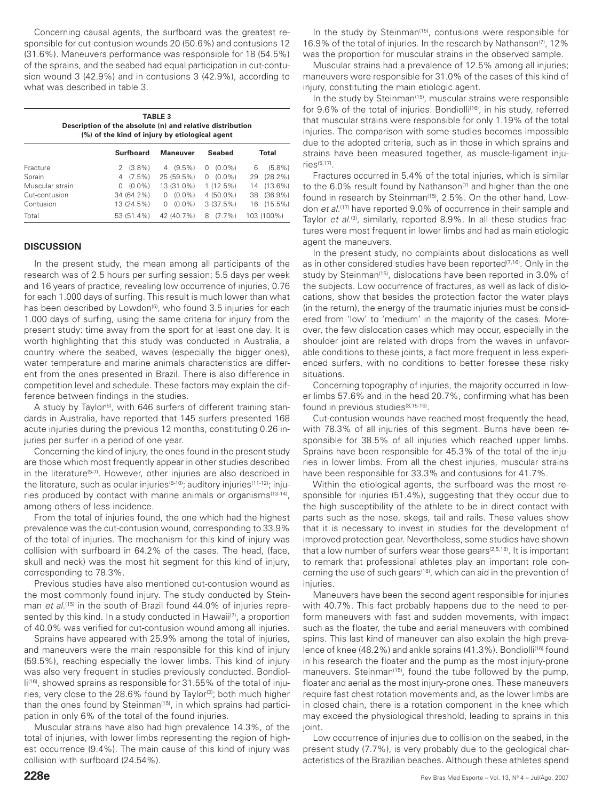Concerning causal agents, the surfboard was the greatest responsible for cut-contusion wounds 20 (50.6%) and contusions 12 (31.6%). Maneuvers performance was responsible for 18 (54.5%) of the sprains, and the seabed had equal participation in cut-contusion wound 3 (42.9%) and in contusions 3 (42.9%), according to what was described in table 3.

| <b>TABLE 3</b><br>Description of the absolute (n) and relative distribution<br>(%) of the kind of injury by etiological agent |                |                |                |                  |  |  |  |
|-------------------------------------------------------------------------------------------------------------------------------|----------------|----------------|----------------|------------------|--|--|--|
|                                                                                                                               |                |                |                |                  |  |  |  |
| Fracture                                                                                                                      | $(3.8\%)$<br>2 | $(9.5\%)$<br>4 | $(0.0\%)$<br>0 | $(5.8\%)$<br>6   |  |  |  |
| Sprain                                                                                                                        | $4(7.5\%)$     | 25 (59.5%)     | $0(0.0\%)$     | $(28.2\%)$<br>29 |  |  |  |
| Muscular strain                                                                                                               | $(0.0\%)$<br>0 | 13 (31.0%)     | $1(12.5\%)$    | $(13.6\%)$<br>14 |  |  |  |
| Cut-contusion                                                                                                                 | 34 (64.2%)     | $(0.0\%)$<br>0 | $4(50.0\%)$    | $(36.9\%)$<br>38 |  |  |  |
| Contusion                                                                                                                     | 13 (24.5%)     | $(0.0\%)$<br>0 | 3(37.5%)       | $(15.5\%)$<br>16 |  |  |  |
| Total                                                                                                                         | 53 (51.4%)     | 42 (40.7%)     | $(7.7\%)$<br>8 | 103 (100%)       |  |  |  |

#### **DISCUSSION**

In the present study, the mean among all participants of the research was of 2.5 hours per surfing session; 5.5 days per week and 16 years of practice, revealing low occurrence of injuries, 0.76 for each 1.000 days of surfing. This result is much lower than what has been described by Lowdon<sup>(5)</sup>, who found 3.5 injuries for each 1.000 days of surfing, using the same criteria for injury from the present study: time away from the sport for at least one day. It is worth highlighting that this study was conducted in Australia, a country where the seabed, waves (especially the bigger ones), water temperature and marine animals characteristics are different from the ones presented in Brazil. There is also difference in competition level and schedule. These factors may explain the difference between findings in the studies.

A study by Taylor<sup> $(6)$ </sup>, with 646 surfers of different training standards in Australia, have reported that 145 surfers presented 168 acute injuries during the previous 12 months, constituting 0.26 injuries per surfer in a period of one year.

Concerning the kind of injury, the ones found in the present study are those which most frequently appear in other studies described in the literature<sup>(5-7)</sup>. However, other injuries are also described in the literature, such as ocular injuries<sup>(8-10)</sup>; auditory injuries<sup>(11-12)</sup>; injuries produced by contact with marine animals or organisms<sup>(13-14)</sup>, among others of less incidence.

From the total of injuries found, the one which had the highest prevalence was the cut-contusion wound, corresponding to 33.9% of the total of injuries. The mechanism for this kind of injury was collision with surfboard in 64.2% of the cases. The head, (face, skull and neck) was the most hit segment for this kind of injury, corresponding to 78.3%.

Previous studies have also mentioned cut-contusion wound as the most commonly found injury. The study conducted by Steinman et al.<sup>(15)</sup> in the south of Brazil found 44.0% of injuries represented by this kind. In a study conducted in Hawaii<sup>(7)</sup>, a proportion of 40.0% was verified for cut-contusion wound among all injuries.

Sprains have appeared with 25.9% among the total of injuries, and maneuvers were the main responsible for this kind of injury (59.5%), reaching especially the lower limbs. This kind of injury was also very frequent in studies previously conducted. Bondiolli<sup>(16)</sup>, showed sprains as responsible for 31.55% of the total of injuries, very close to the 28.6% found by Taylor<sup>(3)</sup>; both much higher than the ones found by Steinman<sup>(15)</sup>, in which sprains had participation in only 6% of the total of the found injuries.

Muscular strains have also had high prevalence 14.3%, of the total of injuries, with lower limbs representing the region of highest occurrence (9.4%). The main cause of this kind of injury was collision with surfboard (24.54%).

In the study by Steinman<sup>(15)</sup>, contusions were responsible for 16.9% of the total of injuries. In the research by Nathanson<sup> $(7)$ </sup>, 12% was the proportion for muscular strains in the observed sample.

Muscular strains had a prevalence of 12.5% among all injuries; maneuvers were responsible for 31.0% of the cases of this kind of injury, constituting the main etiologic agent.

In the study by Steinman<sup>(15)</sup>, muscular strains were responsible for 9.6% of the total of injuries. Bondiolli<sup>(16)</sup>, in his study, referred that muscular strains were responsible for only 1.19% of the total injuries. The comparison with some studies becomes impossible due to the adopted criteria, such as in those in which sprains and strains have been measured together, as muscle-ligament injuries(5,17).

Fractures occurred in 5.4% of the total injuries, which is similar to the 6.0% result found by Nathanson<sup> $(7)$ </sup> and higher than the one found in research by Steinman<sup>(15)</sup>, 2.5%. On the other hand, Lowdon et al.<sup>(17)</sup> have reported 9.0% of occurrence in their sample and Taylor et al.<sup>(3)</sup>, similarly, reported 8.9%. In all these studies fractures were most frequent in lower limbs and had as main etiologic agent the maneuvers.

In the present study, no complaints about dislocations as well as in other considered studies have been reported<sup>(7,16)</sup>. Only in the study by Steinman<sup>(15)</sup>, dislocations have been reported in 3.0% of the subjects. Low occurrence of fractures, as well as lack of dislocations, show that besides the protection factor the water plays (in the return), the energy of the traumatic injuries must be considered from 'low' to 'medium' in the majority of the cases. Moreover, the few dislocation cases which may occur, especially in the shoulder joint are related with drops from the waves in unfavorable conditions to these joints, a fact more frequent in less experienced surfers, with no conditions to better foresee these risky situations.

Concerning topography of injuries, the majority occurred in lower limbs 57.6% and in the head 20.7%, confirming what has been found in previous studies<sup>(3,15-16)</sup>.

Cut-contusion wounds have reached most frequently the head, with 78.3% of all injuries of this segment. Burns have been responsible for 38.5% of all injuries which reached upper limbs. Sprains have been responsible for 45.3% of the total of the injuries in lower limbs. From all the chest injuries, muscular strains have been responsible for 33.3% and contusions for 41.7%.

Within the etiological agents, the surfboard was the most responsible for injuries (51.4%), suggesting that they occur due to the high susceptibility of the athlete to be in direct contact with parts such as the nose, skegs, tail and rails. These values show that it is necessary to invest in studies for the development of improved protection gear. Nevertheless, some studies have shown that a low number of surfers wear those gears $(2,5,18)$ . It is important to remark that professional athletes play an important role concerning the use of such gears<sup>(18)</sup>, which can aid in the prevention of injuries.

Maneuvers have been the second agent responsible for injuries with 40.7%. This fact probably happens due to the need to perform maneuvers with fast and sudden movements, with impact such as the floater, the tube and aerial maneuvers with combined spins. This last kind of maneuver can also explain the high prevalence of knee (48.2%) and ankle sprains (41.3%). Bondiolli<sup>(16)</sup> found in his research the floater and the pump as the most injury-prone maneuvers. Steinman<sup>(15)</sup>, found the tube followed by the pump, floater and aerial as the most injury-prone ones. These maneuvers require fast chest rotation movements and, as the lower limbs are in closed chain, there is a rotation component in the knee which may exceed the physiological threshold, leading to sprains in this joint.

Low occurrence of injuries due to collision on the seabed, in the present study (7.7%), is very probably due to the geological characteristics of the Brazilian beaches. Although these athletes spend